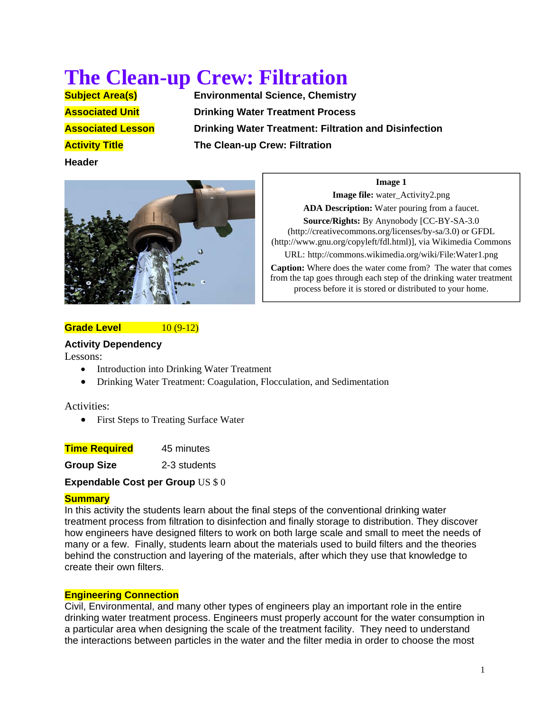# **The Clean-up Crew: Filtration**<br> **Subject Area(s)**<br> **Environmental Science, Chemistry**

**Header**

**Environmental Science, Chemistry Associated Unit Communist Drinking Water Treatment Process Associated Lesson Drinking Water Treatment: Filtration and Disinfection Activity Title The Clean-up Crew: Filtration** 



# **Image 1**

**Image file:** water Activity2.png **ADA Description:** Water pouring from a faucet.

**Source/Rights:** By Anynobody [CC-BY-SA-3.0 (http://creativecommons.org/licenses/by-sa/3.0) or GFDL (http://www.gnu.org/copyleft/fdl.html)], via Wikimedia Commons

URL: http://commons.wikimedia.org/wiki/File:Water1.png

**Caption:** Where does the water come from? The water that comes from the tap goes through each step of the drinking water treatment process before it is stored or distributed to your home.

# **Grade Level 10 (9-12)**

#### **Activity Dependency**

Lessons:

- Introduction into Drinking Water Treatment
- Drinking Water Treatment: Coagulation, Flocculation, and Sedimentation

Activities:

• First Steps to Treating Surface Water

**Time Required** 45 minutes

**Group Size** 2-3 students

**Expendable Cost per Group** US \$ 0

# **Summary**

In this activity the students learn about the final steps of the conventional drinking water treatment process from filtration to disinfection and finally storage to distribution. They discover how engineers have designed filters to work on both large scale and small to meet the needs of many or a few. Finally, students learn about the materials used to build filters and the theories behind the construction and layering of the materials, after which they use that knowledge to create their own filters.

# **Engineering Connection**

Civil, Environmental, and many other types of engineers play an important role in the entire drinking water treatment process. Engineers must properly account for the water consumption in a particular area when designing the scale of the treatment facility. They need to understand the interactions between particles in the water and the filter media in order to choose the most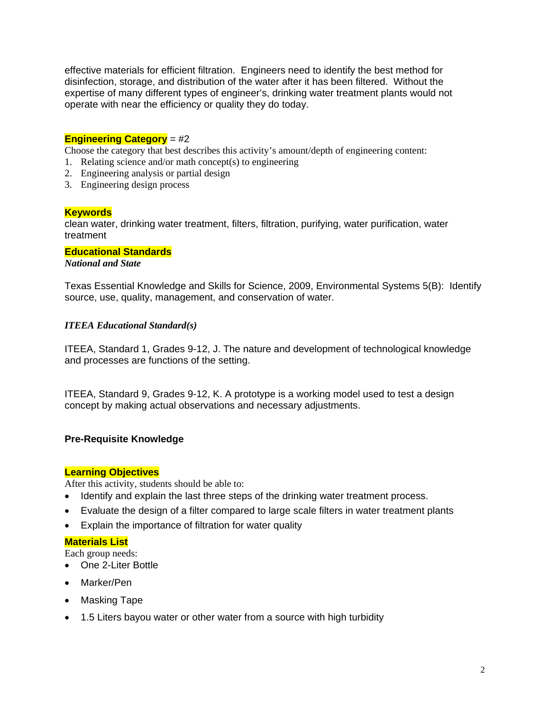effective materials for efficient filtration. Engineers need to identify the best method for disinfection, storage, and distribution of the water after it has been filtered. Without the expertise of many different types of engineer's, drinking water treatment plants would not operate with near the efficiency or quality they do today.

## **Engineering Category** = #2

Choose the category that best describes this activity's amount/depth of engineering content:

- 1. Relating science and/or math concept(s) to engineering
- 2. Engineering analysis or partial design
- 3. Engineering design process

#### **Keywords**

clean water, drinking water treatment, filters, filtration, purifying, water purification, water treatment

#### **Educational Standards**

*National and State* 

Texas Essential Knowledge and Skills for Science, 2009, Environmental Systems 5(B): Identify source, use, quality, management, and conservation of water.

#### *ITEEA Educational Standard(s)*

ITEEA, Standard 1, Grades 9-12, J. The nature and development of technological knowledge and processes are functions of the setting.

ITEEA, Standard 9, Grades 9-12, K. A prototype is a working model used to test a design concept by making actual observations and necessary adjustments.

#### **Pre-Requisite Knowledge**

#### **Learning Objectives**

After this activity, students should be able to:

- Identify and explain the last three steps of the drinking water treatment process.
- Evaluate the design of a filter compared to large scale filters in water treatment plants
- Explain the importance of filtration for water quality

#### **Materials List**

Each group needs:

- One 2-Liter Bottle
- Marker/Pen
- Masking Tape
- 1.5 Liters bayou water or other water from a source with high turbidity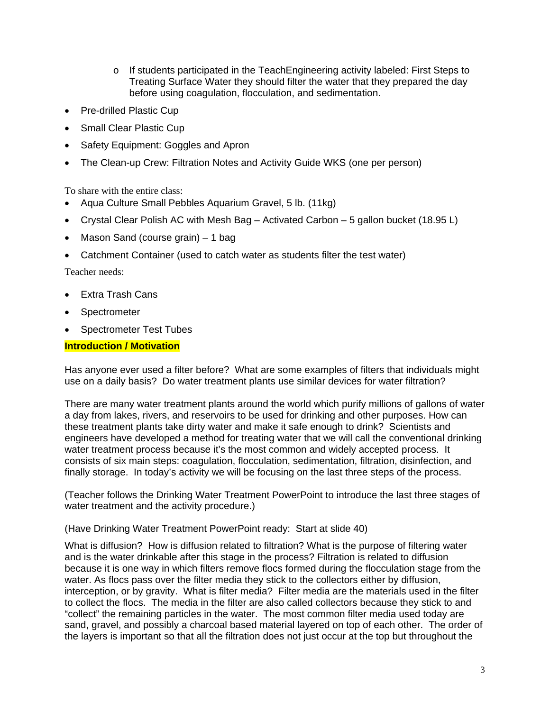- $\circ$  If students participated in the TeachEngineering activity labeled: First Steps to Treating Surface Water they should filter the water that they prepared the day before using coagulation, flocculation, and sedimentation.
- Pre-drilled Plastic Cup
- Small Clear Plastic Cup
- Safety Equipment: Goggles and Apron
- The Clean-up Crew: Filtration Notes and Activity Guide WKS (one per person)

To share with the entire class:

- Aqua Culture Small Pebbles Aquarium Gravel, 5 lb. (11kg)
- Crystal Clear Polish AC with Mesh Bag Activated Carbon 5 gallon bucket (18.95 L)
- Mason Sand (course grain) 1 bag
- Catchment Container (used to catch water as students filter the test water)

Teacher needs:

- Extra Trash Cans
- **Spectrometer**
- Spectrometer Test Tubes

#### **Introduction / Motivation**

Has anyone ever used a filter before? What are some examples of filters that individuals might use on a daily basis? Do water treatment plants use similar devices for water filtration?

There are many water treatment plants around the world which purify millions of gallons of water a day from lakes, rivers, and reservoirs to be used for drinking and other purposes. How can these treatment plants take dirty water and make it safe enough to drink? Scientists and engineers have developed a method for treating water that we will call the conventional drinking water treatment process because it's the most common and widely accepted process. It consists of six main steps: coagulation, flocculation, sedimentation, filtration, disinfection, and finally storage. In today's activity we will be focusing on the last three steps of the process.

(Teacher follows the Drinking Water Treatment PowerPoint to introduce the last three stages of water treatment and the activity procedure.)

(Have Drinking Water Treatment PowerPoint ready: Start at slide 40)

What is diffusion? How is diffusion related to filtration? What is the purpose of filtering water and is the water drinkable after this stage in the process? Filtration is related to diffusion because it is one way in which filters remove flocs formed during the flocculation stage from the water. As flocs pass over the filter media they stick to the collectors either by diffusion, interception, or by gravity. What is filter media? Filter media are the materials used in the filter to collect the flocs. The media in the filter are also called collectors because they stick to and "collect" the remaining particles in the water. The most common filter media used today are sand, gravel, and possibly a charcoal based material layered on top of each other. The order of the layers is important so that all the filtration does not just occur at the top but throughout the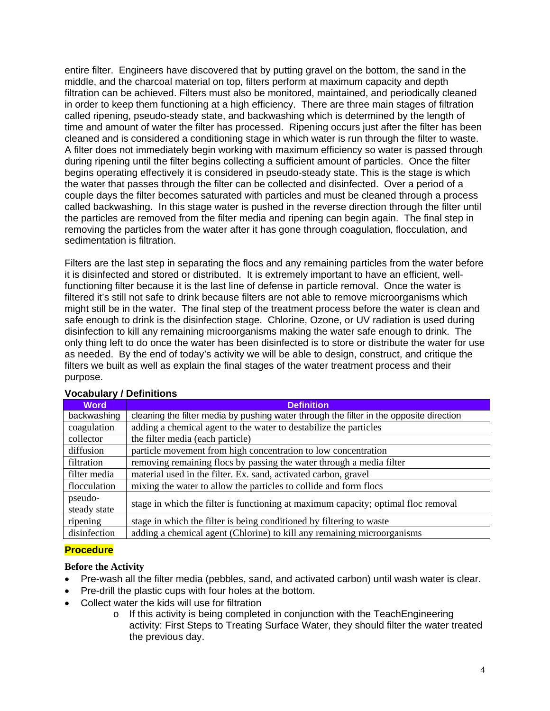entire filter. Engineers have discovered that by putting gravel on the bottom, the sand in the middle, and the charcoal material on top, filters perform at maximum capacity and depth filtration can be achieved. Filters must also be monitored, maintained, and periodically cleaned in order to keep them functioning at a high efficiency. There are three main stages of filtration called ripening, pseudo-steady state, and backwashing which is determined by the length of time and amount of water the filter has processed. Ripening occurs just after the filter has been cleaned and is considered a conditioning stage in which water is run through the filter to waste. A filter does not immediately begin working with maximum efficiency so water is passed through during ripening until the filter begins collecting a sufficient amount of particles. Once the filter begins operating effectively it is considered in pseudo-steady state. This is the stage is which the water that passes through the filter can be collected and disinfected. Over a period of a couple days the filter becomes saturated with particles and must be cleaned through a process called backwashing. In this stage water is pushed in the reverse direction through the filter until the particles are removed from the filter media and ripening can begin again. The final step in removing the particles from the water after it has gone through coagulation, flocculation, and sedimentation is filtration.

Filters are the last step in separating the flocs and any remaining particles from the water before it is disinfected and stored or distributed. It is extremely important to have an efficient, wellfunctioning filter because it is the last line of defense in particle removal. Once the water is filtered it's still not safe to drink because filters are not able to remove microorganisms which might still be in the water. The final step of the treatment process before the water is clean and safe enough to drink is the disinfection stage. Chlorine, Ozone, or UV radiation is used during disinfection to kill any remaining microorganisms making the water safe enough to drink. The only thing left to do once the water has been disinfected is to store or distribute the water for use as needed. By the end of today's activity we will be able to design, construct, and critique the filters we built as well as explain the final stages of the water treatment process and their purpose.

| <b>Word</b>  | <b>Definition</b>                                                                       |
|--------------|-----------------------------------------------------------------------------------------|
| backwashing  | cleaning the filter media by pushing water through the filter in the opposite direction |
| coagulation  | adding a chemical agent to the water to destabilize the particles                       |
| collector    | the filter media (each particle)                                                        |
| diffusion    | particle movement from high concentration to low concentration                          |
| filtration   | removing remaining flocs by passing the water through a media filter                    |
| filter media | material used in the filter. Ex. sand, activated carbon, gravel                         |
| flocculation | mixing the water to allow the particles to collide and form flocs                       |
| pseudo-      | stage in which the filter is functioning at maximum capacity; optimal floc removal      |
| steady state |                                                                                         |
| ripening     | stage in which the filter is being conditioned by filtering to waste                    |
| disinfection | adding a chemical agent (Chlorine) to kill any remaining microorganisms                 |

# **Vocabulary / Definitions**

# **Procedure**

# **Before the Activity**

- Pre-wash all the filter media (pebbles, sand, and activated carbon) until wash water is clear.
- Pre-drill the plastic cups with four holes at the bottom.
- Collect water the kids will use for filtration
	- $\circ$  If this activity is being completed in conjunction with the TeachEngineering activity: First Steps to Treating Surface Water, they should filter the water treated the previous day.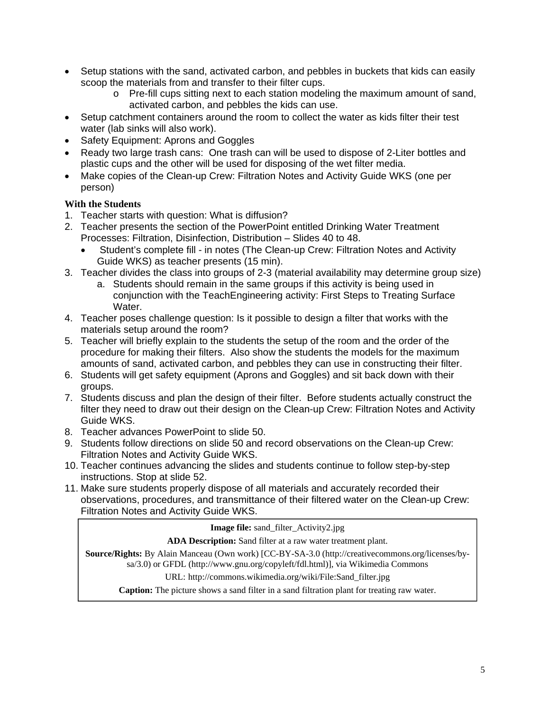- Setup stations with the sand, activated carbon, and pebbles in buckets that kids can easily scoop the materials from and transfer to their filter cups.
	- o Pre-fill cups sitting next to each station modeling the maximum amount of sand, activated carbon, and pebbles the kids can use.
- Setup catchment containers around the room to collect the water as kids filter their test water (lab sinks will also work).
- Safety Equipment: Aprons and Goggles
- Ready two large trash cans: One trash can will be used to dispose of 2-Liter bottles and plastic cups and the other will be used for disposing of the wet filter media.
- Make copies of the Clean-up Crew: Filtration Notes and Activity Guide WKS (one per person)

# **With the Students**

- 1. Teacher starts with question: What is diffusion?
- 2. Teacher presents the section of the PowerPoint entitled Drinking Water Treatment Processes: Filtration, Disinfection, Distribution – Slides 40 to 48.
	- Student's complete fill in notes (The Clean-up Crew: Filtration Notes and Activity Guide WKS) as teacher presents (15 min).
- 3. Teacher divides the class into groups of 2-3 (material availability may determine group size)
	- a. Students should remain in the same groups if this activity is being used in conjunction with the TeachEngineering activity: First Steps to Treating Surface Water.
- 4. Teacher poses challenge question: Is it possible to design a filter that works with the materials setup around the room?
- 5. Teacher will briefly explain to the students the setup of the room and the order of the procedure for making their filters. Also show the students the models for the maximum amounts of sand, activated carbon, and pebbles they can use in constructing their filter.
- 6. Students will get safety equipment (Aprons and Goggles) and sit back down with their groups.
- 7. Students discuss and plan the design of their filter. Before students actually construct the filter they need to draw out their design on the Clean-up Crew: Filtration Notes and Activity Guide WKS.
- 8. Teacher advances PowerPoint to slide 50.
- 9. Students follow directions on slide 50 and record observations on the Clean-up Crew: Filtration Notes and Activity Guide WKS.
- 10. Teacher continues advancing the slides and students continue to follow step-by-step instructions. Stop at slide 52.
- 11. Make sure students properly dispose of all materials and accurately recorded their observations, procedures, and transmittance of their filtered water on the Clean-up Crew: Filtration Notes and Activity Guide WKS.

**Image file:** sand\_filter\_Activity2.jpg

**ADA Description:** Sand filter at a raw water treatment plant.

**Source/Rights:** By Alain Manceau (Own work) [CC-BY-SA-3.0 (http://creativecommons.org/licenses/bysa/3.0) or GFDL (http://www.gnu.org/copyleft/fdl.html)], via Wikimedia Commons

URL: http://commons.wikimedia.org/wiki/File:Sand\_filter.jpg

**Caption:** The picture shows a sand filter in a sand filtration plant for treating raw water.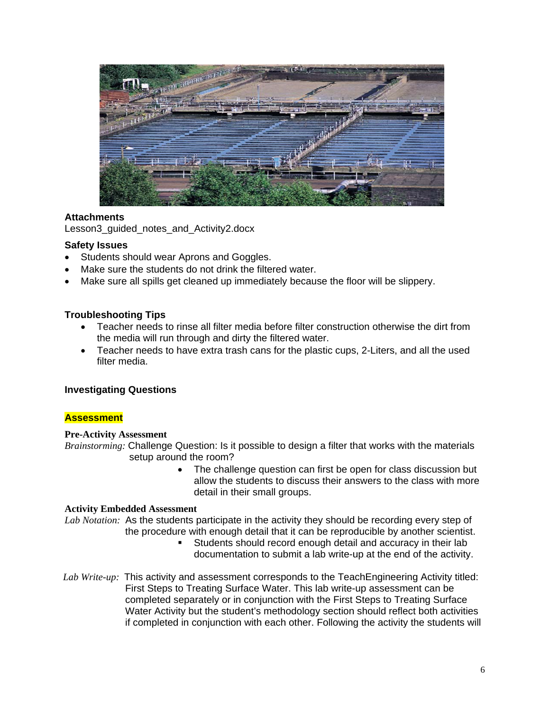

# **Attachments**

Lesson3\_quided\_notes\_and\_Activity2.docx

#### **Safety Issues**

- Students should wear Aprons and Goggles.
- Make sure the students do not drink the filtered water.
- Make sure all spills get cleaned up immediately because the floor will be slippery.

#### **Troubleshooting Tips**

- Teacher needs to rinse all filter media before filter construction otherwise the dirt from the media will run through and dirty the filtered water.
- Teacher needs to have extra trash cans for the plastic cups, 2-Liters, and all the used filter media.

#### **Investigating Questions**

#### **Assessment**

#### **Pre-Activity Assessment**

*Brainstorming:* Challenge Question: Is it possible to design a filter that works with the materials setup around the room?

> • The challenge question can first be open for class discussion but allow the students to discuss their answers to the class with more detail in their small groups.

#### **Activity Embedded Assessment**

*Lab Notation:* As the students participate in the activity they should be recording every step of the procedure with enough detail that it can be reproducible by another scientist.

- Students should record enough detail and accuracy in their lab documentation to submit a lab write-up at the end of the activity.
- *Lab Write-up:* This activity and assessment corresponds to the TeachEngineering Activity titled: First Steps to Treating Surface Water. This lab write-up assessment can be completed separately or in conjunction with the First Steps to Treating Surface Water Activity but the student's methodology section should reflect both activities if completed in conjunction with each other. Following the activity the students will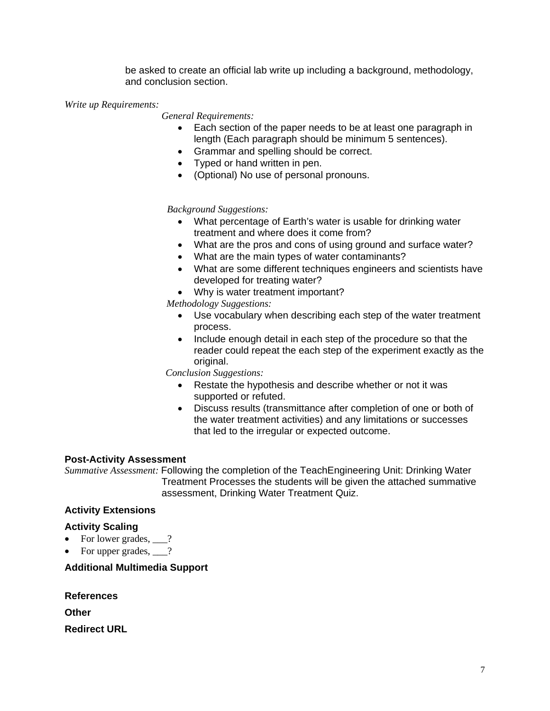be asked to create an official lab write up including a background, methodology, and conclusion section.

## *Write up Requirements:*

 *General Requirements:*

- Each section of the paper needs to be at least one paragraph in length (Each paragraph should be minimum 5 sentences).
- Grammar and spelling should be correct.
- Typed or hand written in pen.
- (Optional) No use of personal pronouns.

# *Background Suggestions:*

- What percentage of Earth's water is usable for drinking water treatment and where does it come from?
- What are the pros and cons of using ground and surface water?
- What are the main types of water contaminants?
- What are some different techniques engineers and scientists have developed for treating water?
- Why is water treatment important?

 *Methodology Suggestions:* 

- Use vocabulary when describing each step of the water treatment process.
- Include enough detail in each step of the procedure so that the reader could repeat the each step of the experiment exactly as the original.

*Conclusion Suggestions:* 

- Restate the hypothesis and describe whether or not it was supported or refuted.
- Discuss results (transmittance after completion of one or both of the water treatment activities) and any limitations or successes that led to the irregular or expected outcome.

# **Post-Activity Assessment**

*Summative Assessment:* Following the completion of the TeachEngineering Unit: Drinking Water Treatment Processes the students will be given the attached summative assessment, Drinking Water Treatment Quiz.

# **Activity Extensions**

# **Activity Scaling**

- For lower grades, ?
- For upper grades,  $\qquad$ ?

# **Additional Multimedia Support**

**References**

**Other**

**Redirect URL**